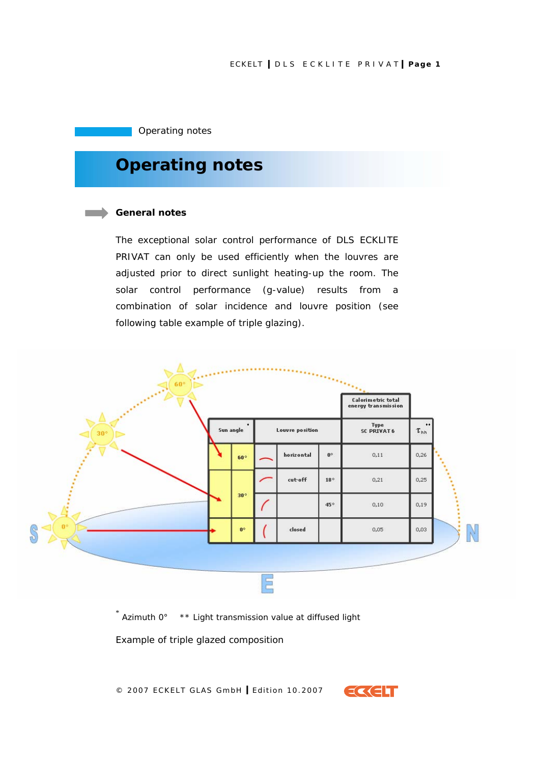# ECKELT **I** DLS ECKLITE PRIVAT **I Page 1**

Operating notes

# **Operating notes**

#### **General notes**

The exceptional solar control performance of DLS ECKLITE PRIVAT can only be used efficiently when the louvres are adjusted prior to direct sunlight heating-up the room. The solar control performance (g-value) results from a combination of solar incidence and louvre position (see following table example of triple glazing).



\* Azimuth 0° \*\* Light transmission value at diffused light

*Example of triple glazed composition* 

© 2007 ECKELT GLAS GmbH **I** Edition 10.2007

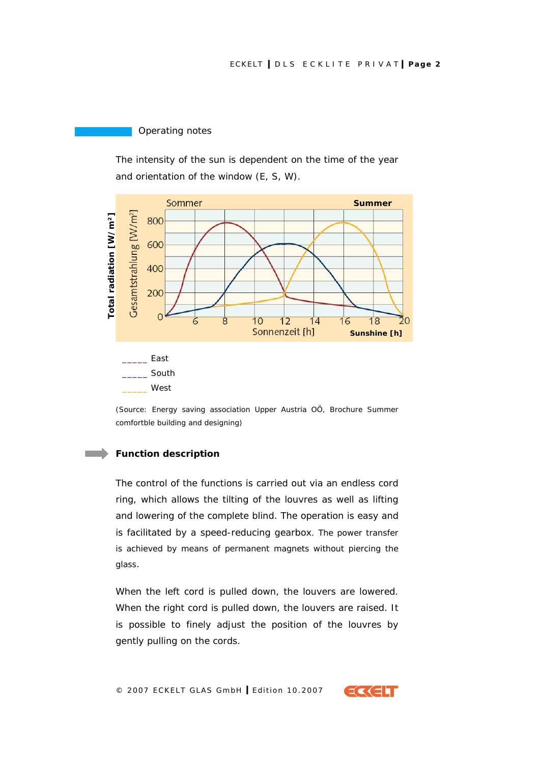Operating notes

The intensity of the sun is dependent on the time of the year and orientation of the window (E, S, W).



*(Source: Energy saving association Upper Austria OÖ, Brochure Summer comfortble building and designing)* 

# **Function description**

The control of the functions is carried out via an endless cord ring, which allows the tilting of the louvres as well as lifting and lowering of the complete blind. The operation is easy and is facilitated by a speed-reducing gearbox. The power transfer is achieved by means of permanent magnets without piercing the glass.

When the left cord is pulled down, the louvers are lowered. When the right cord is pulled down, the louvers are raised. It is possible to finely adjust the position of the louvres by gently pulling on the cords.

© 2007 ECKELT GLAS GmbH **I** Edition 10.2007

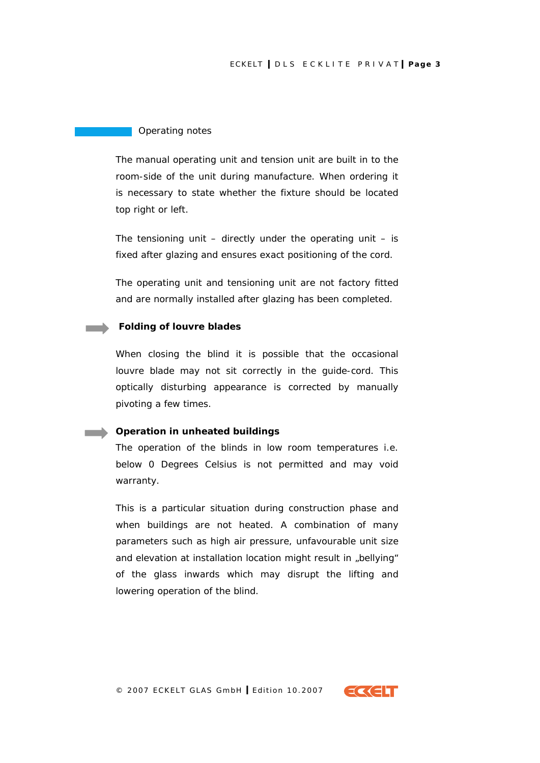## ECKELT **I** DLS ECKLITE PRIVAT **I Page 3**

#### Operating notes

The manual operating unit and tension unit are built in to the room-side of the unit during manufacture. When ordering it is necessary to state whether the fixture should be located top right or left.

The tensioning unit  $-$  directly under the operating unit  $-$  is fixed after glazing and ensures exact positioning of the cord.

The operating unit and tensioning unit are not factory fitted and are normally installed after glazing has been completed.

#### **Folding of louvre blades**

When closing the blind it is possible that the occasional louvre blade may not sit correctly in the guide-cord. This optically disturbing appearance is corrected by manually pivoting a few times.

## **Operation in unheated buildings**

The operation of the blinds in low room temperatures i.e. below 0 Degrees Celsius is not permitted and may void warranty.

This is a particular situation during construction phase and when buildings are not heated. A combination of many parameters such as high air pressure, unfavourable unit size and elevation at installation location might result in "bellying" of the glass inwards which may disrupt the lifting and lowering operation of the blind.

© 2007 ECKELT GLAS GmbH **I** Edition 10.2007